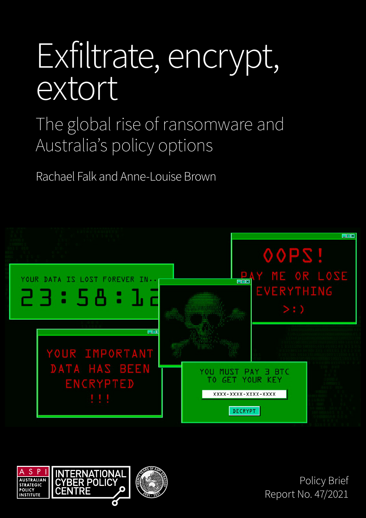# Exfiltrate, encrypt, extort

The global rise of ransomware and Australia's policy options

Rachael Falk and Anne-Louise Brown





Policy Brief Report No. 47/2021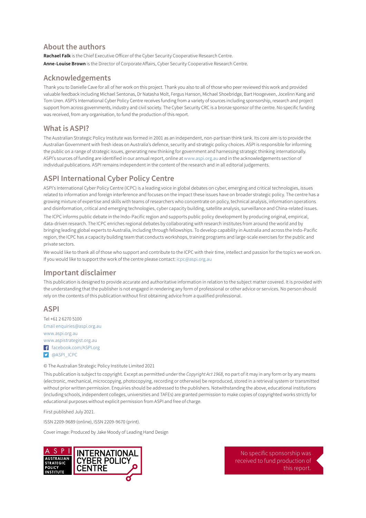#### **About the authors**

**Rachael Falk** is the Chief Executive Officer of the Cyber Security Cooperative Research Centre. **Anne-Louise Brown** is the Director of Corporate Affairs, Cyber Security Cooperative Research Centre.

#### **Acknowledgements**

Thank you to Danielle Cave for all of her work on this project. Thank you also to all of those who peer reviewed this work and provided valuable feedback including Michael Sentonas, Dr Natasha Molt, Fergus Hanson, Michael Shoebridge, Bart Hoogeveen, Jocelinn Kang and Tom Uren. ASPI's International Cyber Policy Centre receives funding from a variety of sources including sponsorship, research and project support from across governments, industry and civil society. The Cyber Security CRC is a bronze sponsor of the centre. No specific funding was received, from any organisation, to fund the production of this report.

#### **What is ASPI?**

The Australian Strategic Policy Institute was formed in 2001 as an independent, non-partisan think tank. Its core aim is to provide the Australian Government with fresh ideas on Australia's defence, security and strategic policy choices. ASPI is responsible for informing the public on a range of strategic issues, generating new thinking for government and harnessing strategic thinking internationally. ASPI's sources of funding are identified in our annual report, online at [www.aspi.org.au](http://www.aspi.org.au) and in the acknowledgements section of individual publications. ASPI remains independent in the content of the research and in all editorial judgements.

#### **ASPI International Cyber Policy Centre**

ASPI's International Cyber Policy Centre (ICPC) is a leading voice in global debates on cyber, emerging and critical technologies, issues related to information and foreign interference and focuses on the impact these issues have on broader strategic policy. The centre has a growing mixture of expertise and skills with teams of researchers who concentrate on policy, technical analysis, information operations and disinformation, critical and emerging technologies, cyber capacity building, satellite analysis, surveillance and China-related issues.

The ICPC informs public debate in the Indo-Pacific region and supports public policy development by producing original, empirical, data-driven research. The ICPC enriches regional debates by collaborating with research institutes from around the world and by bringing leading global experts to Australia, including through fellowships. To develop capability in Australia and across the Indo-Pacific region, the ICPC has a capacity building team that conducts workshops, training programs and large-scale exercises for the public and private sectors.

We would like to thank all of those who support and contribute to the ICPC with their time, intellect and passion for the topics we work on. If you would like to support the work of the centre please contact: [icpc@aspi.org.au](mailto:icpc%40aspi.org.au?subject=)

#### **Important disclaimer**

This publication is designed to provide accurate and authoritative information in relation to the subject matter covered. It is provided with the understanding that the publisher is not engaged in rendering any form of professional or other advice or services. No person should rely on the contents of this publication without first obtaining advice from a qualified professional.

#### **ASPI**

Tel +61 2 6270 5100 Email [enquiries@aspi.org.au](mailto:enquiries%40aspi.org.au?subject=) [www.aspi.org.au](http://www.aspi.org.au) [www.aspistrategist.org.au](http://www.aspistrategist.org.au) [facebook.com/ASPI.org](http://facebook.com/ASPI.org) **D** [@ASPI\\_ICPC](https://twitter.com/aspi_icpc)

© The Australian Strategic Policy Institute Limited 2021

This publication is subject to copyright. Except as permitted under the *Copyright Act 1968*, no part of it may in any form or by any means (electronic, mechanical, microcopying, photocopying, recording or otherwise) be reproduced, stored in a retrieval system or transmitted without prior written permission. Enquiries should be addressed to the publishers. Notwithstanding the above, educational institutions (including schools, independent colleges, universities and TAFEs) are granted permission to make copies of copyrighted works strictly for educational purposes without explicit permission from ASPI and free of charge.

First published July 2021.

ISSN 2209-9689 (online), ISSN 2209-9670 (print).

Cover image: Produced by Jake Moody of Leading Hand Design



No specific sponsorship was received to fund production of this report.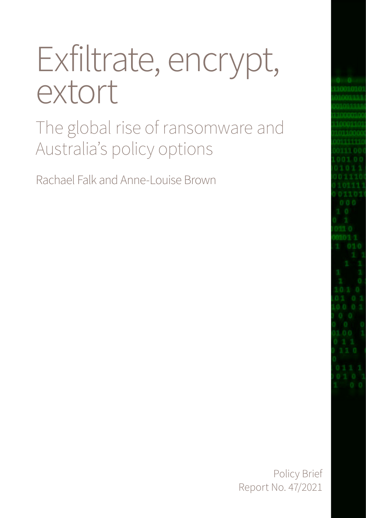# Exfiltrate, encrypt, extort

The global rise of ransomware and Australia's policy options

Rachael Falk and Anne-Louise Brown

Policy Brief Report No. 47/2021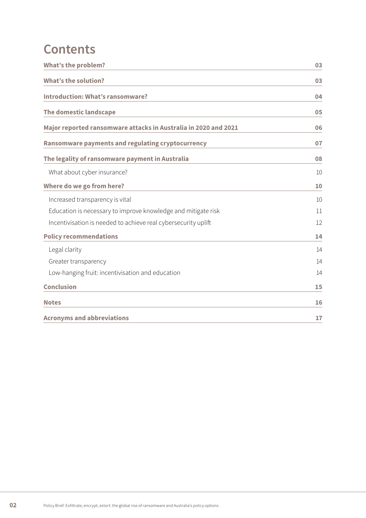## **Contents**

| <b>What's the problem?</b>                                      | 03 |
|-----------------------------------------------------------------|----|
| <b>What's the solution?</b>                                     | 03 |
| <b>Introduction: What's ransomware?</b>                         | 04 |
| The domestic landscape                                          | 05 |
| Major reported ransomware attacks in Australia in 2020 and 2021 | 06 |
| Ransomware payments and regulating cryptocurrency               | 07 |
| The legality of ransomware payment in Australia                 | 08 |
| What about cyber insurance?                                     | 10 |
| Where do we go from here?                                       | 10 |
| Increased transparency is vital                                 | 10 |
| Education is necessary to improve knowledge and mitigate risk   | 11 |
| Incentivisation is needed to achieve real cybersecurity uplift  | 12 |
| <b>Policy recommendations</b>                                   | 14 |
| Legal clarity                                                   | 14 |
| Greater transparency                                            | 14 |
| Low-hanging fruit: incentivisation and education                | 14 |
| <b>Conclusion</b>                                               | 15 |
| <b>Notes</b>                                                    | 16 |
| <b>Acronyms and abbreviations</b>                               | 17 |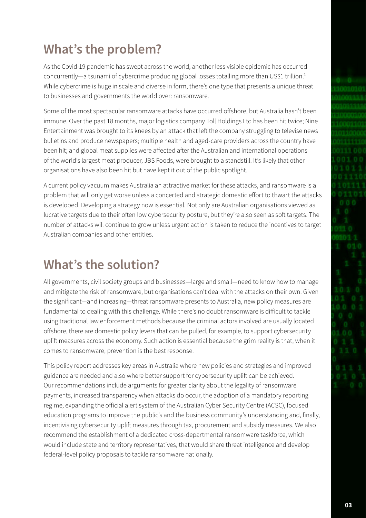## <span id="page-4-0"></span>**What's the problem?**

As the Covid-19 pandemic has swept across the world, another less visible epidemic has occurred concurrently—a tsunami of cybercrime producing global losses totalling more than US\$1 trillion.<sup>1</sup> While cybercrime is huge in scale and diverse in form, there's one type that presents a unique threat to businesses and governments the world over: ransomware.

Some of the most spectacular ransomware attacks have occurred offshore, but Australia hasn't been immune. Over the past 18 months, major logistics company Toll Holdings Ltd has been hit twice; Nine Entertainment was brought to its knees by an attack that left the company struggling to televise news bulletins and produce newspapers; multiple health and aged-care providers across the country have been hit; and global meat supplies were affected after the Australian and international operations of the world's largest meat producer, JBS Foods, were brought to a standstill. It's likely that other organisations have also been hit but have kept it out of the public spotlight.

A current policy vacuum makes Australia an attractive market for these attacks, and ransomware is a problem that will only get worse unless a concerted and strategic domestic effort to thwart the attacks is developed. Developing a strategy now is essential. Not only are Australian organisations viewed as lucrative targets due to their often low cybersecurity posture, but they're also seen as soft targets. The number of attacks will continue to grow unless urgent action is taken to reduce the incentives to target Australian companies and other entities.

## **What's the solution?**

All governments, civil society groups and businesses—large and small—need to know how to manage and mitigate the risk of ransomware, but organisations can't deal with the attacks on their own. Given the significant—and increasing—threat ransomware presents to Australia, new policy measures are fundamental to dealing with this challenge. While there's no doubt ransomware is difficult to tackle using traditional law enforcement methods because the criminal actors involved are usually located offshore, there are domestic policy levers that can be pulled, for example, to support cybersecurity uplift measures across the economy. Such action is essential because the grim reality is that, when it comes to ransomware, prevention is the best response.

This policy report addresses key areas in Australia where new policies and strategies and improved guidance are needed and also where better support for cybersecurity uplift can be achieved. Our recommendations include arguments for greater clarity about the legality of ransomware payments, increased transparency when attacks do occur, the adoption of a mandatory reporting regime, expanding the official alert system of the Australian Cyber Security Centre (ACSC), focused education programs to improve the public's and the business community's understanding and, finally, incentivising cybersecurity uplift measures through tax, procurement and subsidy measures. We also recommend the establishment of a dedicated cross-departmental ransomware taskforce, which would include state and territory representatives, that would share threat intelligence and develop federal-level policy proposals to tackle ransomware nationally.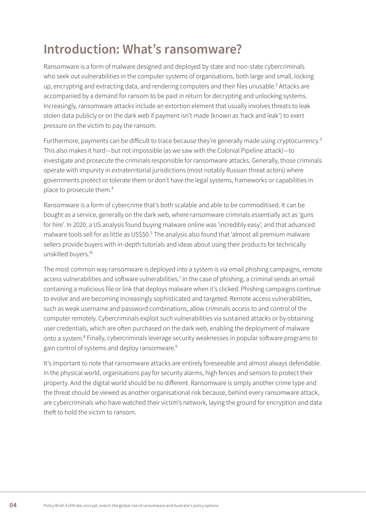## <span id="page-5-0"></span>**Introduction: What's ransomware?**

Ransomware is a form of malware designed and deployed by state and non-state cybercriminals who seek out vulnerabilities in the computer systems of organisations, both large and small, locking up, encrypting and extracting data, and rendering computers and their files unusable.<sup>2</sup> Attacks are accompanied by a demand for ransom to be paid in return for decrypting and unlocking systems. Increasingly, ransomware attacks include an extortion element that usually involves threats to leak stolen data publicly or on the dark web if payment isn't made (known as 'hack and leak') to exert pressure on the victim to pay the ransom.

Furthermore, payments can be difficult to trace because they're generally made using cryptocurrency.<sup>3</sup> This also makes it hard—but not impossible (as we saw with the Colonial Pipeline attack)—to investigate and prosecute the criminals responsible for ransomware attacks. Generally, those criminals operate with impunity in extraterritorial jurisdictions (most notably Russian threat actors) where governments protect or tolerate them or don't have the legal systems, frameworks or capabilities in place to prosecute them.4

Ransomware is a form of cybercrime that's both scalable and able to be commoditised. It can be bought as a service, generally on the dark web, where ransomware criminals essentially act as 'guns for hire'. In 2020, a US analysis found buying malware online was 'incredibly easy', and that advanced malware tools sell for as little as US\$50.<sup>5</sup> The analysis also found that 'almost all premium malware sellers provide buyers with in-depth tutorials and ideas about using their products for technically unskilled buyers.'6

The most common way ransomware is deployed into a system is via email phishing campaigns, remote access vulnerabilities and software vulnerabilities.<sup>7</sup> In the case of phishing, a criminal sends an email containing a malicious file or link that deploys malware when it's clicked. Phishing campaigns continue to evolve and are becoming increasingly sophisticated and targeted. Remote access vulnerabilities, such as weak username and password combinations, allow criminals access to and control of the computer remotely. Cybercriminals exploit such vulnerabilities via sustained attacks or by obtaining user credentials, which are often purchased on the dark web, enabling the deployment of malware onto a system.<sup>8</sup> Finally, cybercriminals leverage security weaknesses in popular software programs to gain control of systems and deploy ransomware.9

It's important to note that ransomware attacks are entirely foreseeable and almost always defendable. In the physical world, organisations pay for security alarms, high fences and sensors to protect their property. And the digital world should be no different. Ransomware is simply another crime type and the threat should be viewed as another organisational risk because, behind every ransomware attack, are cybercriminals who have watched their victim's network, laying the ground for encryption and data theft to hold the victim to ransom.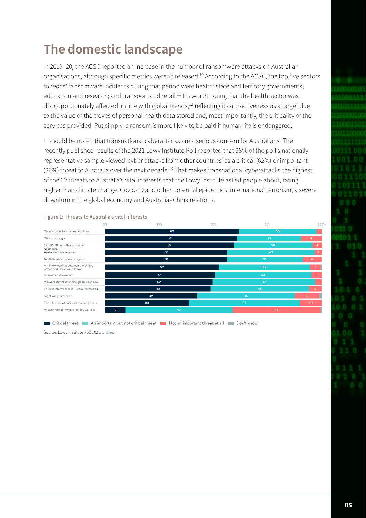# <span id="page-6-0"></span>**The domestic landscape**

In 2019–20, the ACSC reported an increase in the number of ransomware attacks on Australian organisations, although specific metrics weren't released.<sup>10</sup> According to the ACSC, the top five sectors to *report* ransomware incidents during that period were health; state and territory governments; education and research; and transport and retail.<sup>11</sup> It's worth noting that the health sector was disproportionately affected, in line with global trends,<sup>12</sup> reflecting its attractiveness as a target due to the value of the troves of personal health data stored and, most importantly, the criticality of the services provided. Put simply, a ransom is more likely to be paid if human life is endangered.

It should be noted that transnational cyberattacks are a serious concern for Australians. The recently published results of the 2021 Lowy Institute Poll reported that 98% of the poll's nationally representative sample viewed 'cyber attacks from other countries' as a critical (62%) or important (36%) threat to Australia over the next decade.<sup>13</sup> That makes transnational cyberattacks the highest of the 12 threats to Australia's vital interests that the Lowy Institute asked people about, rating higher than climate change, Covid-19 and other potential epidemics, international terrorism, a severe downturn in the global economy and Australia–China relations.



Figure 1: Threats to Australia's vital interests

Critical threat An important but not critical threat Not an important threat at all Don't know

Source: Lowy Institute Poll 2021, [online](https://poll.lowyinstitute.org/charts/threats-australias-vital-interests/).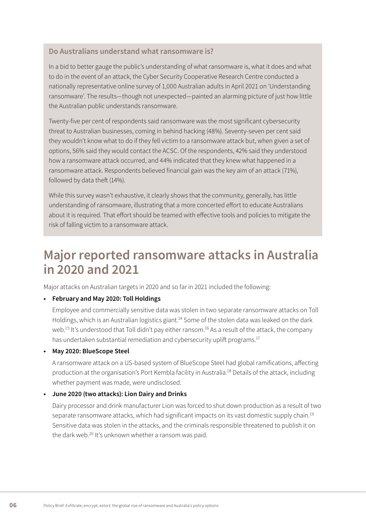#### <span id="page-7-0"></span>**Do Australians understand what ransomware is?**

In a bid to better gauge the public's understanding of what ransomware is, what it does and what to do in the event of an attack, the Cyber Security Cooperative Research Centre conducted a nationally representative online survey of 1,000 Australian adults in April 2021 on 'Understanding ransomware'. The results—though not unexpected—painted an alarming picture of just how little the Australian public understands ransomware.

Twenty-five per cent of respondents said ransomware was the most significant cybersecurity threat to Australian businesses, coming in behind hacking (48%). Seventy-seven per cent said they wouldn't know what to do if they fell victim to a ransomware attack but, when given a set of options, 56% said they would contact the ACSC. Of the respondents, 42% said they understood how a ransomware attack occurred, and 44% indicated that they knew what happened in a ransomware attack. Respondents believed financial gain was the key aim of an attack (71%), followed by data theft (14%).

While this survey wasn't exhaustive, it clearly shows that the community, generally, has little understanding of ransomware, illustrating that a more concerted effort to educate Australians about it is required. That effort should be teamed with effective tools and policies to mitigate the risk of falling victim to a ransomware attack.

### **Major reported ransomware attacks in Australia in 2020 and 2021**

Major attacks on Australian targets in 2020 and so far in 2021 included the following:

#### **• February and May 2020: Toll Holdings**

Employee and commercially sensitive data was stolen in two separate ransomware attacks on Toll Holdings, which is an Australian logistics giant.<sup>14</sup> Some of the stolen data was leaked on the dark web.<sup>15</sup> It's understood that Toll didn't pay either ransom.<sup>16</sup> As a result of the attack, the company has undertaken substantial remediation and cybersecurity uplift programs.<sup>17</sup>

#### **• May 2020: BlueScope Steel**

A ransomware attack on a US-based system of BlueScope Steel had global ramifications, affecting production at the organisation's Port Kembla facility in Australia.<sup>18</sup> Details of the attack, including whether payment was made, were undisclosed.

#### **• June 2020 (two attacks): Lion Dairy and Drinks**

Dairy processor and drink manufacturer Lion was forced to shut down production as a result of two separate ransomware attacks, which had significant impacts on its vast domestic supply chain.<sup>19</sup> Sensitive data was stolen in the attacks, and the criminals responsible threatened to publish it on the dark web.<sup>20</sup> It's unknown whether a ransom was paid.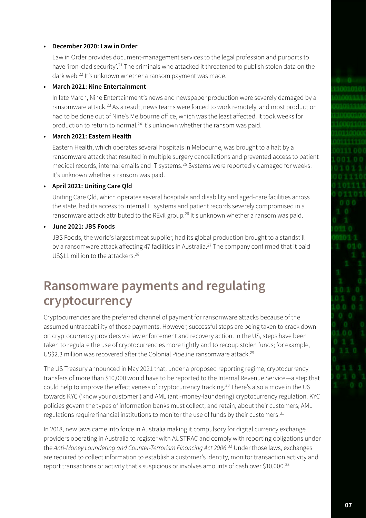#### <span id="page-8-0"></span>**• December 2020: Law in Order**

Law in Order provides document-management services to the legal profession and purports to have 'iron-clad security'.<sup>21</sup> The criminals who attacked it threatened to publish stolen data on the dark web.22 It's unknown whether a ransom payment was made.

#### **• March 2021: Nine Entertainment**

In late March, Nine Entertainment's news and newspaper production were severely damaged by a ransomware attack.<sup>23</sup> As a result, news teams were forced to work remotely, and most production had to be done out of Nine's Melbourne office, which was the least affected. It took weeks for production to return to normal.24 It's unknown whether the ransom was paid.

#### **• March 2021: Eastern Health**

Eastern Health, which operates several hospitals in Melbourne, was brought to a halt by a ransomware attack that resulted in multiple surgery cancellations and prevented access to patient medical records, internal emails and IT systems.25 Systems were reportedly damaged for weeks. It's unknown whether a ransom was paid.

#### **• April 2021: Uniting Care Qld**

Uniting Care Qld, which operates several hospitals and disability and aged-care facilities across the state, had its access to internal IT systems and patient records severely compromised in a ransomware attack attributed to the REvil group.<sup>26</sup> It's unknown whether a ransom was paid.

#### **• June 2021: JBS Foods**

JBS Foods, the world's largest meat supplier, had its global production brought to a standstill by a ransomware attack affecting 47 facilities in Australia.<sup>27</sup> The company confirmed that it paid US\$11 million to the attackers.28

## **Ransomware payments and regulating cryptocurrency**

Cryptocurrencies are the preferred channel of payment for ransomware attacks because of the assumed untraceability of those payments. However, successful steps are being taken to crack down on cryptocurrency providers via law enforcement and recovery action. In the US, steps have been taken to regulate the use of cryptocurrencies more tightly and to recoup stolen funds; for example, US\$2.3 million was recovered after the Colonial Pipeline ransomware attack.29

The US Treasury announced in May 2021 that, under a proposed reporting regime, cryptocurrency transfers of more than \$10,000 would have to be reported to the Internal Revenue Service—a step that could help to improve the effectiveness of cryptocurrency tracking.<sup>30</sup> There's also a move in the US towards KYC ('know your customer') and AML (anti-money-laundering) cryptocurrency regulation. KYC policies govern the types of information banks must collect, and retain, about their customers; AML regulations require financial institutions to monitor the use of funds by their customers.<sup>31</sup>

In 2018, new laws came into force in Australia making it compulsory for digital currency exchange providers operating in Australia to register with AUSTRAC and comply with reporting obligations under the *Anti-Money Laundering and Counter-Terrorism Financing Act 2006*. 32 Under those laws, exchanges are required to collect information to establish a customer's identity, monitor transaction activity and report transactions or activity that's suspicious or involves amounts of cash over \$10,000.33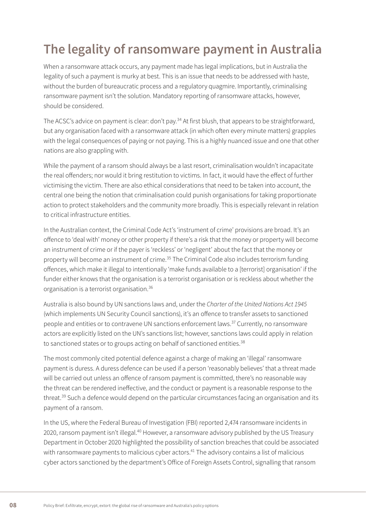# <span id="page-9-0"></span>**The legality of ransomware payment in Australia**

When a ransomware attack occurs, any payment made has legal implications, but in Australia the legality of such a payment is murky at best. This is an issue that needs to be addressed with haste, without the burden of bureaucratic process and a regulatory quagmire. Importantly, criminalising ransomware payment isn't the solution. Mandatory reporting of ransomware attacks, however, should be considered.

The ACSC's advice on payment is clear: don't pay.<sup>34</sup> At first blush, that appears to be straightforward, but any organisation faced with a ransomware attack (in which often every minute matters) grapples with the legal consequences of paying or not paying. This is a highly nuanced issue and one that other nations are also grappling with.

While the payment of a ransom should always be a last resort, criminalisation wouldn't incapacitate the real offenders; nor would it bring restitution to victims. In fact, it would have the effect of further victimising the victim. There are also ethical considerations that need to be taken into account, the central one being the notion that criminalisation could punish organisations for taking proportionate action to protect stakeholders and the community more broadly. This is especially relevant in relation to critical infrastructure entities.

In the Australian context, the Criminal Code Act's 'instrument of crime' provisions are broad. It's an offence to 'deal with' money or other property if there's a risk that the money or property will become an instrument of crime or if the payer is 'reckless' or 'negligent' about the fact that the money or property will become an instrument of crime.35 The Criminal Code also includes terrorism funding offences, which make it illegal to intentionally 'make funds available to a [terrorist] organisation' if the funder either knows that the organisation is a terrorist organisation or is reckless about whether the organisation is a terrorist organisation.36

Australia is also bound by UN sanctions laws and, under the *Charter of the United Nations Act 1945* (which implements UN Security Council sanctions), it's an offence to transfer assets to sanctioned people and entities or to contravene UN sanctions enforcement laws.<sup>37</sup> Currently, no ransomware actors are explicitly listed on the UN's sanctions list; however, sanctions laws could apply in relation to sanctioned states or to groups acting on behalf of sanctioned entities.<sup>38</sup>

The most commonly cited potential defence against a charge of making an 'illegal' ransomware payment is duress. A duress defence can be used if a person 'reasonably believes' that a threat made will be carried out unless an offence of ransom payment is committed, there's no reasonable way the threat can be rendered ineffective, and the conduct or payment is a reasonable response to the threat.<sup>39</sup> Such a defence would depend on the particular circumstances facing an organisation and its payment of a ransom.

In the US, where the Federal Bureau of Investigation (FBI) reported 2,474 ransomware incidents in 2020, ransom payment isn't illegal.<sup>40</sup> However, a ransomware advisory published by the US Treasury Department in October 2020 highlighted the possibility of sanction breaches that could be associated with ransomware payments to malicious cyber actors.<sup>41</sup> The advisory contains a list of malicious cyber actors sanctioned by the department's Office of Foreign Assets Control, signalling that ransom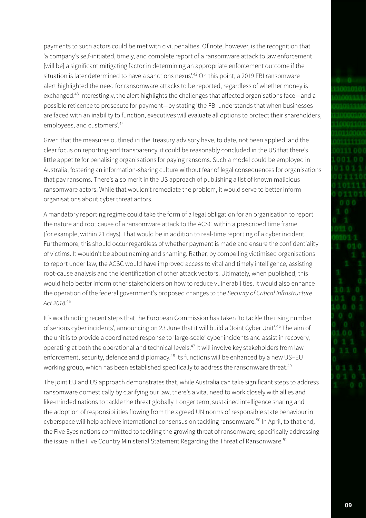payments to such actors could be met with civil penalties. Of note, however, is the recognition that 'a company's self-initiated, timely, and complete report of a ransomware attack to law enforcement [will be] a significant mitigating factor in determining an appropriate enforcement outcome if the situation is later determined to have a sanctions nexus'.<sup>42</sup> On this point, a 2019 FBI ransomware alert highlighted the need for ransomware attacks to be reported, regardless of whether money is exchanged.43 Interestingly, the alert highlights the challenges that affected organisations face—and a possible reticence to prosecute for payment—by stating 'the FBI understands that when businesses are faced with an inability to function, executives will evaluate all options to protect their shareholders, employees, and customers'.44

Given that the measures outlined in the Treasury advisory have, to date, not been applied, and the clear focus on reporting and transparency, it could be reasonably concluded in the US that there's little appetite for penalising organisations for paying ransoms. Such a model could be employed in Australia, fostering an information-sharing culture without fear of legal consequences for organisations that pay ransoms. There's also merit in the US approach of publishing a list of known malicious ransomware actors. While that wouldn't remediate the problem, it would serve to better inform organisations about cyber threat actors.

A mandatory reporting regime could take the form of a legal obligation for an organisation to report the nature and root cause of a ransomware attack to the ACSC within a prescribed time frame (for example, within 21 days). That would be in addition to real-time reporting of a cyber incident. Furthermore, this should occur regardless of whether payment is made and ensure the confidentiality of victims. It wouldn't be about naming and shaming. Rather, by compelling victimised organisations to report under law, the ACSC would have improved access to vital and timely intelligence, assisting root-cause analysis and the identification of other attack vectors. Ultimately, when published, this would help better inform other stakeholders on how to reduce vulnerabilities. It would also enhance the operation of the federal government's proposed changes to the *Security of Critical Infrastructure Act 2018*. 45

It's worth noting recent steps that the European Commission has taken 'to tackle the rising number of serious cyber incidents', announcing on 23 June that it will build a 'Joint Cyber Unit'.46 The aim of the unit is to provide a coordinated response to 'large-scale' cyber incidents and assist in recovery, operating at both the operational and technical levels.47 It will involve key stakeholders from law enforcement, security, defence and diplomacy.<sup>48</sup> Its functions will be enhanced by a new US-EU working group, which has been established specifically to address the ransomware threat.<sup>49</sup>

The joint EU and US approach demonstrates that, while Australia can take significant steps to address ransomware domestically by clarifying our law, there's a vital need to work closely with allies and like-minded nations to tackle the threat globally. Longer term, sustained intelligence sharing and the adoption of responsibilities flowing from the agreed UN norms of responsible state behaviour in cyberspace will help achieve international consensus on tackling ransomware.<sup>50</sup> In April, to that end, the Five Eyes nations committed to tackling the growing threat of ransomware, specifically addressing the issue in the Five Country Ministerial Statement Regarding the Threat of Ransomware.<sup>51</sup>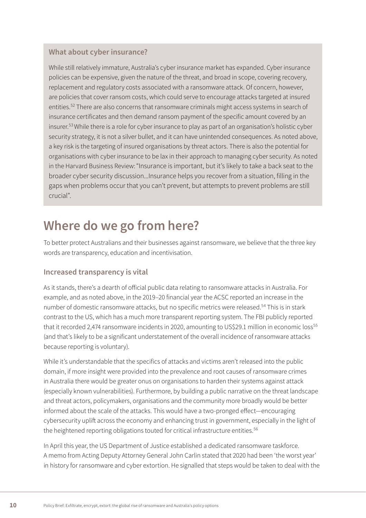#### <span id="page-11-0"></span>**What about cyber insurance?**

While still relatively immature, Australia's cyber insurance market has expanded. Cyber insurance policies can be expensive, given the nature of the threat, and broad in scope, covering recovery, replacement and regulatory costs associated with a ransomware attack. Of concern, however, are policies that cover ransom costs, which could serve to encourage attacks targeted at insured entities.<sup>52</sup> There are also concerns that ransomware criminals might access systems in search of insurance certificates and then demand ransom payment of the specific amount covered by an insurer.53 While there is a role for cyber insurance to play as part of an organisation's holistic cyber security strategy, it is not a silver bullet, and it can have unintended consequences. As noted above, a key risk is the targeting of insured organisations by threat actors. There is also the potential for organisations with cyber insurance to be lax in their approach to managing cyber security. As noted in the Harvard Business Review:"Insurance is important, but it's likely to take a back seat to the broader cyber security discussion...Insurance helps you recover from a situation, filling in the gaps when problems occur that you can't prevent, but attempts to prevent problems are still crucial".

## **Where do we go from here?**

To better protect Australians and their businesses against ransomware, we believe that the three key words are transparency, education and incentivisation.

#### **Increased transparency is vital**

As it stands, there's a dearth of official public data relating to ransomware attacks in Australia. For example, and as noted above, in the 2019–20 financial year the ACSC reported an increase in the number of domestic ransomware attacks, but no specific metrics were released.<sup>54</sup> This is in stark contrast to the US, which has a much more transparent reporting system. The FBI publicly reported that it recorded 2,474 ransomware incidents in 2020, amounting to US\$29.1 million in economic loss<sup>55</sup> (and that's likely to be a significant understatement of the overall incidence of ransomware attacks because reporting is voluntary).

While it's understandable that the specifics of attacks and victims aren't released into the public domain, if more insight were provided into the prevalence and root causes of ransomware crimes in Australia there would be greater onus on organisations to harden their systems against attack (especially known vulnerabilities). Furthermore, by building a public narrative on the threat landscape and threat actors, policymakers, organisations and the community more broadly would be better informed about the scale of the attacks. This would have a two-pronged effect—encouraging cybersecurity uplift across the economy and enhancing trust in government, especially in the light of the heightened reporting obligations touted for critical infrastructure entities.<sup>56</sup>

In April this year, the US Department of Justice established a dedicated ransomware taskforce. A memo from Acting Deputy Attorney General John Carlin stated that 2020 had been 'the worst year' in history for ransomware and cyber extortion. He signalled that steps would be taken to deal with the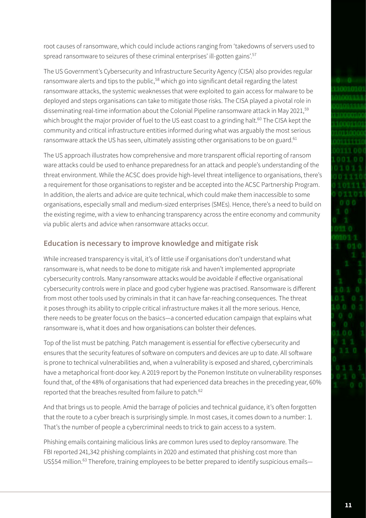<span id="page-12-0"></span>root causes of ransomware, which could include actions ranging from 'takedowns of servers used to spread ransomware to seizures of these criminal enterprises' ill-gotten gains'.<sup>57</sup>

The US Government's Cybersecurity and Infrastructure Security Agency (CISA) also provides regular ransomware alerts and tips to the public,<sup>58</sup> which go into significant detail regarding the latest ransomware attacks, the systemic weaknesses that were exploited to gain access for malware to be deployed and steps organisations can take to mitigate those risks. The CISA played a pivotal role in disseminating real-time information about the Colonial Pipeline ransomware attack in May 2021,<sup>59</sup> which brought the major provider of fuel to the US east coast to a grinding halt.<sup>60</sup> The CISA kept the community and critical infrastructure entities informed during what was arguably the most serious ransomware attack the US has seen, ultimately assisting other organisations to be on guard.<sup>61</sup>

The US approach illustrates how comprehensive and more transparent official reporting of ransom ware attacks could be used to enhance preparedness for an attack and people's understanding of the threat environment. While the ACSC does provide high-level threat intelligence to organisations, there's a requirement for those organisations to register and be accepted into the ACSC Partnership Program. In addition, the alerts and advice are quite technical, which could make them inaccessible to some organisations, especially small and medium-sized enterprises (SMEs). Hence, there's a need to build on the existing regime, with a view to enhancing transparency across the entire economy and community via public alerts and advice when ransomware attacks occur.

#### **Education is necessary to improve knowledge and mitigate risk**

While increased transparency is vital, it's of little use if organisations don't understand what ransomware is, what needs to be done to mitigate risk and haven't implemented appropriate cybersecurity controls. Many ransomware attacks would be avoidable if effective organisational cybersecurity controls were in place and good cyber hygiene was practised. Ransomware is different from most other tools used by criminals in that it can have far-reaching consequences. The threat it poses through its ability to cripple critical infrastructure makes it all the more serious. Hence, there needs to be greater focus on the basics—a concerted education campaign that explains what ransomware is, what it does and how organisations can bolster their defences.

Top of the list must be patching. Patch management is essential for effective cybersecurity and ensures that the security features of software on computers and devices are up to date. All software is prone to technical vulnerabilities and, when a vulnerability is exposed and shared, cybercriminals have a metaphorical front-door key. A 2019 report by the Ponemon Institute on vulnerability responses found that, of the 48% of organisations that had experienced data breaches in the preceding year, 60% reported that the breaches resulted from failure to patch.<sup>62</sup>

And that brings us to people. Amid the barrage of policies and technical guidance, it's often forgotten that the route to a cyber breach is surprisingly simple. In most cases, it comes down to a number: 1. That's the number of people a cybercriminal needs to trick to gain access to a system.

Phishing emails containing malicious links are common lures used to deploy ransomware. The FBI reported 241,342 phishing complaints in 2020 and estimated that phishing cost more than US\$54 million.<sup>63</sup> Therefore, training employees to be better prepared to identify suspicious emails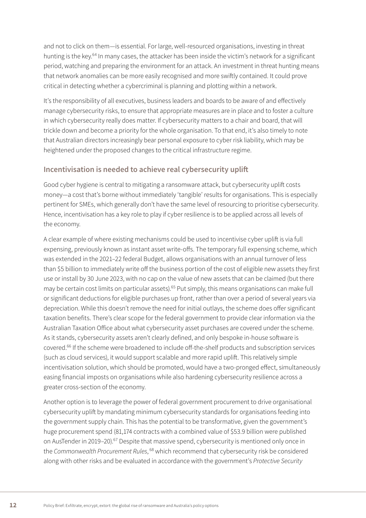<span id="page-13-0"></span>and not to click on them—is essential. For large, well-resourced organisations, investing in threat hunting is the key.<sup>64</sup> In many cases, the attacker has been inside the victim's network for a significant period, watching and preparing the environment for an attack. An investment in threat hunting means that network anomalies can be more easily recognised and more swiftly contained. It could prove critical in detecting whether a cybercriminal is planning and plotting within a network.

It's the responsibility of all executives, business leaders and boards to be aware of and effectively manage cybersecurity risks, to ensure that appropriate measures are in place and to foster a culture in which cybersecurity really does matter. If cybersecurity matters to a chair and board, that will trickle down and become a priority for the whole organisation. To that end, it's also timely to note that Australian directors increasingly bear personal exposure to cyber risk liability, which may be heightened under the proposed changes to the critical infrastructure regime.

#### **Incentivisation is needed to achieve real cybersecurity uplift**

Good cyber hygiene is central to mitigating a ransomware attack, but cybersecurity uplift costs money—a cost that's borne without immediately 'tangible' results for organisations. This is especially pertinent for SMEs, which generally don't have the same level of resourcing to prioritise cybersecurity. Hence, incentivisation has a key role to play if cyber resilience is to be applied across all levels of the economy.

A clear example of where existing mechanisms could be used to incentivise cyber uplift is via full expensing, previously known as instant asset write-offs. The temporary full expensing scheme, which was extended in the 2021–22 federal Budget, allows organisations with an annual turnover of less than \$5 billion to immediately write off the business portion of the cost of eligible new assets they first use or install by 30 June 2023, with no cap on the value of new assets that can be claimed (but there may be certain cost limits on particular assets).<sup>65</sup> Put simply, this means organisations can make full or significant deductions for eligible purchases up front, rather than over a period of several years via depreciation. While this doesn't remove the need for initial outlays, the scheme does offer significant taxation benefits. There's clear scope for the federal government to provide clear information via the Australian Taxation Office about what cybersecurity asset purchases are covered under the scheme. As it stands, cybersecurity assets aren't clearly defined, and only bespoke in-house software is covered.<sup>66</sup> If the scheme were broadened to include off-the-shelf products and subscription services (such as cloud services), it would support scalable and more rapid uplift. This relatively simple incentivisation solution, which should be promoted, would have a two-pronged effect, simultaneously easing financial imposts on organisations while also hardening cybersecurity resilience across a greater cross-section of the economy.

Another option is to leverage the power of federal government procurement to drive organisational cybersecurity uplift by mandating minimum cybersecurity standards for organisations feeding into the government supply chain. This has the potential to be transformative, given the government's huge procurement spend (81,174 contracts with a combined value of \$53.9 billion were published on AusTender in 2019–20).<sup>67</sup> Despite that massive spend, cybersecurity is mentioned only once in the Commonwealth Procurement Rules,<sup>68</sup> which recommend that cybersecurity risk be considered along with other risks and be evaluated in accordance with the government's *Protective Security*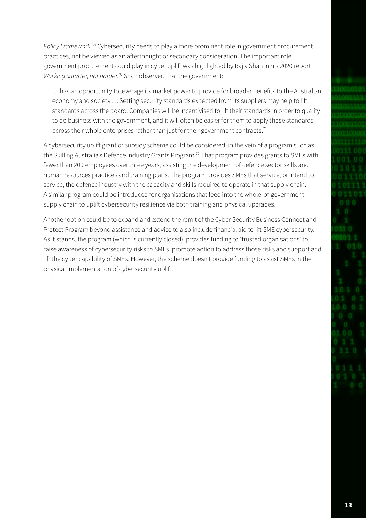*Policy Framework*. 69 Cybersecurity needs to play a more prominent role in government procurement practices, not be viewed as an afterthought or secondary consideration. The important role government procurement could play in cyber uplift was highlighted by Rajiv Shah in his 2020 report Working smarter, not harder.<sup>70</sup> Shah observed that the government:

… has an opportunity to leverage its market power to provide for broader benefits to the Australian economy and society … Setting security standards expected from its suppliers may help to lift standards across the board. Companies will be incentivised to lift their standards in order to qualify to do business with the government, and it will often be easier for them to apply those standards across their whole enterprises rather than just for their government contracts.<sup>71</sup>

A cybersecurity uplift grant or subsidy scheme could be considered, in the vein of a program such as the Skilling Australia's Defence Industry Grants Program.<sup>72</sup> That program provides grants to SMEs with fewer than 200 employees over three years, assisting the development of defence sector skills and human resources practices and training plans. The program provides SMEs that service, or intend to service, the defence industry with the capacity and skills required to operate in that supply chain. A similar program could be introduced for organisations that feed into the whole-of-government supply chain to uplift cybersecurity resilience via both training and physical upgrades.

Another option could be to expand and extend the remit of the Cyber Security Business Connect and Protect Program beyond assistance and advice to also include financial aid to lift SME cybersecurity. As it stands, the program (which is currently closed), provides funding to 'trusted organisations' to raise awareness of cybersecurity risks to SMEs, promote action to address those risks and support and lift the cyber capability of SMEs. However, the scheme doesn't provide funding to assist SMEs in the physical implementation of cybersecurity uplift.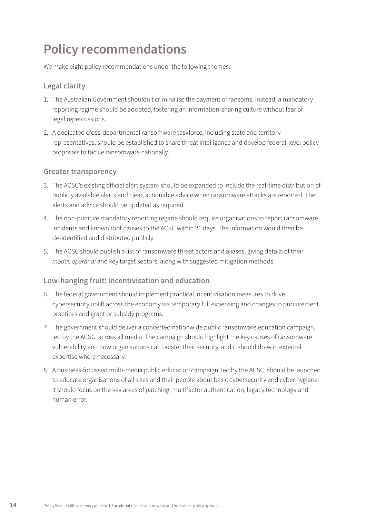## <span id="page-15-0"></span>**Policy recommendations**

We make eight policy recommendations under the following themes.

#### **Legal clarity**

- 1. The Australian Government shouldn't criminalise the payment of ransoms. Instead, a mandatory reporting regime should be adopted, fostering an information-sharing culture without fear of legal repercussions.
- 2. A dedicated cross-departmental ransomware taskforce, including state and territory representatives, should be established to share threat intelligence and develop federal-level policy proposals to tackle ransomware nationally.

#### **Greater transparency**

- 3. The ACSC's existing official alert system should be expanded to include the real-time distribution of publicly available alerts and clear, actionable advice when ransomware attacks are reported. The alerts and advice should be updated as required.
- 4. The non-punitive mandatory reporting regime should require organisations to report ransomware incidents and known root causes to the ACSC within 21 days. The information would then be de-identified and distributed publicly.
- 5. The ACSC should publish a list of ransomware threat actors and aliases, giving details of their *modus operandi* and key target sectors, along with suggested mitigation methods.

#### **Low-hanging fruit: incentivisation and education**

- 6. The federal government should implement practical incentivisation measures to drive cybersecurity uplift across the economy via temporary full expensing and changes to procurement practices and grant or subsidy programs.
- 7. The government should deliver a concerted nationwide public ransomware education campaign, led by the ACSC, across all media. The campaign should highlight the key causes of ransomware vulnerability and how organisations can bolster their security, and it should draw in external expertise where necessary.
- 8. A business-focussed multi-media public education campaign, led by the ACSC, should be launched to educate organisations of all sizes and their people about basic cybersecurity and cyber hygiene. It should focus on the key areas of patching, multifactor authentication, legacy technology and human error.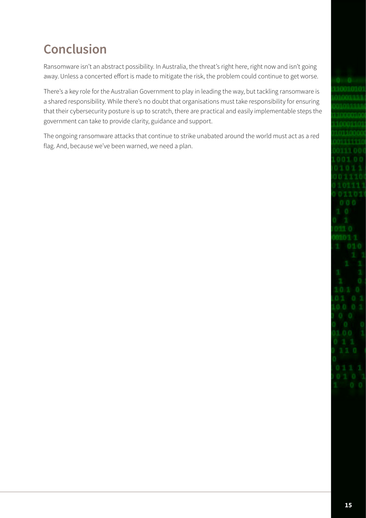# <span id="page-16-0"></span>**Conclusion**

Ransomware isn't an abstract possibility. In Australia, the threat's right here, right now and isn't going away. Unless a concerted effort is made to mitigate the risk, the problem could continue to get worse.

There's a key role for the Australian Government to play in leading the way, but tackling ransomware is a shared responsibility. While there's no doubt that organisations must take responsibility for ensuring that their cybersecurity posture is up to scratch, there are practical and easily implementable steps the government can take to provide clarity, guidance and support.

The ongoing ransomware attacks that continue to strike unabated around the world must act as a red flag. And, because we've been warned, we need a plan.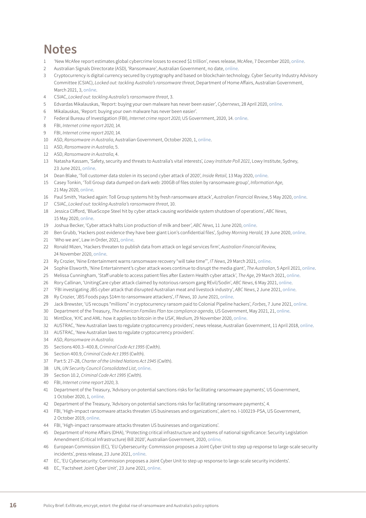## <span id="page-17-0"></span>**Notes**

- 'New McAfee report estimates global cybercrime losses to exceed \$1 trillion', news release, McAfee, 7 December 2020, [online.](https://www.mcafee.com/enterprise/en-us/about/newsroom/press-releases/press-release.html?news_id=6859bd8c-9304-4147-bdab-32b35457e629)
- Australian Signals Directorate (ASD), 'Ransomware', Australian Government, no date, [online.](https://www.cyber.gov.au/ransomware)
- Cryptocurrency is digital currency secured by cryptography and based on blockchain technology. Cyber Security Industry Advisory Committee (CSIAC), *Locked out: tackling Australia's ransomware threat*, Department of Home Affairs, Australian Government, March 2021, 3, [online.](https://www.homeaffairs.gov.au/cyber-security-subsite/files/tackling-ransomware-threat.pdf)
- CSIAC, *Locked out: tackling Australia's ransomware threat*, 3.
- Edvardas Mikalauskas, 'Report: buying your own malware has never been easier', *Cybernews*, 28 April 2020, [online.](https://cybernews.com/security/buying-your-own-malware-has-never-been-easier/)
- Mikalauskas, 'Report: buying your own malware has never been easier'.
- Federal Bureau of Investigation (FBI), *Internet crime report 2020*, US Government, 2020, 14. [online.](https://www.ic3.gov/Media/PDF/AnnualReport/2020_IC3Report.pdf)
- FBI, *Internet crime report 2020*, 14.
- FBI, *Internet crime report 2020*, 14.
- ASD, *Ransomware in Australia*, Australian Government, October 2020, 1, [online](https://www.cyber.gov.au/sites/default/files/2020-10/Ransomware%20in%20Australia%20%28October%202020%29.pdf).
- ASD, *Ransomware in Australia*, 5.
- ASD, *Ransomware in Australia*, 4.
- Natasha Kassam, 'Safety, security and threats to Australia's vital interests'*, Lowy Institute Poll 2021*, Lowy Institute, Sydney, 23 June 2021, [online.](https://poll.lowyinstitute.org/report/2021/%23h2-safety-security-and-threats-australias-vital-interests)
- Dean Blake, 'Toll customer data stolen in its second cyber attack of 2020', *Inside Retail*, 13 May 2020, [online](https://insideretail.com.au/news/toll-customer-data-stolen-in-its-second-cyber-attack-of-2020-202005).
- Casey Tonkin, 'Toll Group data dumped on dark web: 200GB of files stolen by ransomware group', *Information Age*, 21 May 2020, [online.](https://ia.acs.org.au/article/2020/toll-group-data-dumped-on-dark-web.html)
- Paul Smith, 'Hacked again: Toll Group systems hit by fresh ransomware attack', *Australian Financial Review*, 5 May 2020, [online.](https://www.afr.com/technology/hacked-again-toll-group-systems-hit-by-fresh-ransomware-attack-20200505-p54q19)
- CSIAC, *Locked out: tackling Australia's ransomware threat*, 10.
- Jessica Clifford, 'BlueScope Steel hit by cyber attack causing worldwide system shutdown of operations', *ABC News*, 15 May 2020, [online.](https://www.abc.net.au/news/2020-05-15/bluescope-steel-cyber-attack-shut-down-kembla-ransomware/12251316)
- Joshua Becker, 'Cyber attack halts Lion production of milk and beer', *ABC News*, 11 June 2020, [online.](https://www.abc.net.au/news/rural/2020-06-11/lion-dairy-drinks-cyber-attack/12343666)
- Ben Grubb, 'Hackers post evidence they have beer giant Lion's confidential files', *Sydney Morning Herald*, 19 June 2020, [online.](https://www.smh.com.au/technology/hackers-post-evidence-they-have-beer-giant-lion-s-confidential-files-20200619-p5548s.html)
- 'Who we are', Law in Order, 2021, [online.](https://www.lawinorder.com.au/about-us/our-company)
- Ronald Mizen, 'Hackers threaten to publish data from attack on legal services firm', *Australian Financial Review*, 24 November 2020, [online.](https://www.afr.com/companies/professional-services/legal-services-firm-hit-by-ransomware-attack-20201124-p56hht)
- Ry Crozier, 'Nine Entertainment warns ransomware recovery "will take time"', *IT News*, 29 March 2021, [online](https://www.itnews.com.au/news/nine-entertainment-warns-ransomware-recovery-will-take-time-562755).
- Sophie Elsworth, 'Nine Entertainment's cyber attack woes continue to disrupt the media giant', *The Australian*, 5 April 2021, [online.](https://www.theaustralian.com.au/business/media/nine-entertainments-cyber-attack-woes-continue-to-disrupt-the-media-giant/news-story/3a457563cc8a73291063f06f47e7cf31)
- Melissa Cunningham, 'Staff unable to access patient files after Eastern Health cyber attack', *The Age*, 29 March 2021, [online](https://www.theage.com.au/national/victoria/staff-unable-to-access-patient-files-after-eastern-health-cyber-attack-20210329-p57eyj.html).
- Rory Callinan, 'UnitingCare cyber attack claimed by notorious ransom gang REvil/Sodin', *ABC News*, 6 May 2021, [online](https://www.abc.net.au/news/2021-05-06/qld-uniting-care-hack-revil-revealed/100118590).
- 'FBI investigating JBS cyber attack that disrupted Australian meat and livestock industry', *ABC News*, 2 June 2021, [online.](https://www.abc.net.au/news/2021-06-02/fbi-investigating-jbs-meatworks-ransomwear-cyber-attack/100183376)
- Ry Crozier, 'JBS Foods pays \$14m to ransomware attackers', *IT News*, 10 June 2021, [online](https://www.itnews.com.au/news/jbs-foods-pays-14m-to-ransomware-attackers-565748).
- Jack Brewster, 'US recoups "millions" in cryptocurrency ransom paid to Colonial Pipeline hackers', *Forbes*, 7 June 2021, [online](https://www.forbes.com/sites/jackbrewster/2021/06/07/us-reportedly-recoups-millions-in-cryptocurrency-ransom-paid-to-colonial-pipeline-hackers/?sh=3c45bcdc57d2).
- Department of the Treasury, *The American Families Plan tax compliance agenda,* US Government, May 2021, 21, [online.](https://home.treasury.gov/system/files/136/The-American-Families-Plan-Tax-Compliance-Agenda.pdf)
- MintDice, 'KYC and AML: how it applies to bitcoin in the USA', *Medium*, 29 November 2020, [online.](https://medium.com/bitcoin-news-today-gambling-news/kyc-and-aml-how-it-applies-to-bitcoin-in-the-usa-9260de8dd1c0)
- AUSTRAC, 'New Australian laws to regulate cryptocurrency providers', news release, Australian Government, 11 April 2018, [online](https://www.austrac.gov.au/new-australian-laws-regulate-cryptocurrency-providers).
- AUSTRAC, 'New Australian laws to regulate cryptocurrency providers'.
- ASD, *Ransomware in Australia*.
- Sections 400.3–400.8, *Criminal Code Act 1995* (Cwlth).
- Section 400.9, *Criminal Code Act 1995* (Cwlth).
- Part 5: 27–28, *Charter of the United Nations Act 1945* (Cwlth).
- UN, *UN Security Council Consolidated List*, [online.](https://scsanctions.un.org/consolidated)
- Section 10.2, *Criminal Code Act 1995* (Cwlth).
- FBI, *Internet crime report 2020*, 3.
- Department of the Treasury, 'Advisory on potential sanctions risks for facilitating ransomware payments'*,* US Government, 1 October 2020, 1, [online](https://home.treasury.gov/system/files/126/ofac_ransomware_advisory_10012020_1.pdf).
- Department of the Treasury, 'Advisory on potential sanctions risks for facilitating ransomware payments'*,* 4.
- FBI, 'High-impact ransomware attacks threaten US businesses and organizations', alert no. I-100219-PSA, US Government, 2 October 2019, [online](https://www.ic3.gov/Media/Y2019/PSA191002).
- FBI, 'High-impact ransomware attacks threaten US businesses and organizations'.
- Department of Home Affairs (DHA), 'Protecting critical infrastructure and systems of national significance: Security Legislation Amendment (Critical Infrastructure) Bill 2020', Australian Government, 2020, [online.](https://www.homeaffairs.gov.au/reports-and-publications/submissions-and-discussion-papers/protecting-critical-infrastructure-systems)
- European Commission (EC), 'EU Cybersecurity: Commission proposes a Joint Cyber Unit to step up response to large-scale security incidents', press release, 23 June 2021, [online.](https://ec.europa.eu/commission/presscorner/detail/en/IP_21_3088)
- EC, 'EU Cybersecurity: Commission proposes a Joint Cyber Unit to step up response to large-scale security incidents'.
- EC, 'Factsheet Joint Cyber Unit', 23 June 2021, [online.](https://digital-strategy.ec.europa.eu/en/library/factsheet-joint-cyber-unit)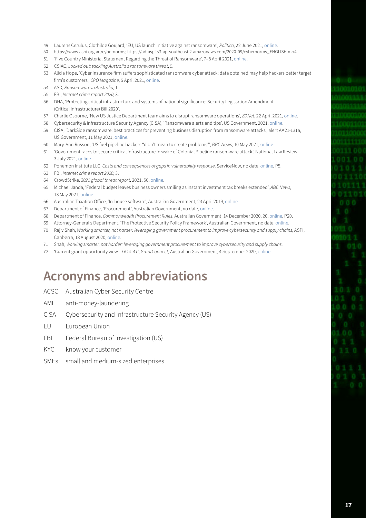- <span id="page-18-0"></span>Laurens Cerulus, Clothilde Goujard, 'EU, US launch initiative against ransomware', *Politico*, 22 June 2021, [online.](https://www.politico.eu/article/eu-us-launch-ransomware-cooperation-group/)
- https://www.aspi.org.au/cybernorms; https://ad-aspi.s3-ap-southeast-2.amazonaws.com/2020-09/cybernorms\_ENGLISH.mp4
- 'Five Country Ministerial Statement Regarding the Threat of Ransomware', 7–8 April 2021, [online](https://www.beehive.govt.nz/sites/default/files/2021-04/Five%20Country%20Ministerial%20Statement%20Regarding%20the%20Threat%20of%20Ransomware.pdf).
- CSIAC, *Locked out: tackling Australia's ransomware threat*, 9.
- Alicia Hope, 'Cyber insurance firm suffers sophisticated ransomware cyber attack; data obtained may help hackers better target firm's customers', *CPO Magazine*, 5 April 2021, [online.](https://www.cpomagazine.com/cyber-security/cyber-insurance-firm-suffers-sophisticated-ransomware-cyber-attack-data-obtained-may-help-hackers-better-target-firms-customers/)
- ASD, *Ransomware in Australia*, 1.
- FBI, *Internet crime report 2020*, 3.
- DHA, 'Protecting critical infrastructure and systems of national significance: Security Legislation Amendment (Critical Infrastructure) Bill 2020'.
- Charlie Osborne, 'New US Justice Department team aims to disrupt ransomware operations', *ZDNet*, 22 April 2021, [online](https://www.zdnet.com/article/new-us-justice-department-team-aims-to-disrupt-ransomware-operations/).
- Cybersecurity & Infrastructure Security Agency (CISA), 'Ransomware alerts and tips', US Government, 2021, [online](https://www.cisa.gov/ransomware-alerts-and-tips).
- CISA, 'DarkSide ransomware: best practices for preventing business disruption from ransomware attacks', alert AA21-131a, US Government, 11 May 2021, [online](https://us-cert.cisa.gov/ncas/alerts/aa21-131a).
- Mary-Ann Russon, 'US fuel pipeline hackers "didn't mean to create problems"', *BBC News*, 10 May 2021, [online](https://www.bbc.com/news/business-57050690).
- 'Government races to secure critical infrastructure in wake of Colonial Pipeline ransomware attack', National Law Review, 3 July 2021, [online](https://www.natlawreview.com/article/government-races-to-secure-critical-infrastructure-wake-colonial-pipeline-ransomware).
- Ponemon Institute LLC, *Costs and consequences of gaps in vulnerability response*, ServiceNow, no date, [online](https://www.servicenow.com/content/dam/servicenow-assets/public/en-us/doc-type/resource-center/analyst-report/ponemon-state-of-vulnerability-response.pdf), P5.
- FBI, *Internet crime report 2020*, 3.
- CrowdStrike, *2021 global threat report*, 2021, 50, [online.](https://go.crowdstrike.com/rs/281-OBQ-266/images/Report2021GTR.pdf)
- Michael Janda, 'Federal budget leaves business owners smiling as instant investment tax breaks extended', *ABC News*, 13 May 2021, [online.](https://www.abc.net.au/news/2021-05-11/federal-budget-2021-business/13339004)
- Australian Taxation Office, 'In-house software', Australian Government, 23 April 2019, [online.](https://www.ato.gov.au/Business/Depreciation-and-capital-expenses-and-allowances/In-detail/Depreciating-assets/In-house-software/)
- Department of Finance, 'Procurement', Australian Government, no date, [online](https://www.finance.gov.au/government/procurement).
- Department of Finance, *Commonwealth Procurement Rules*, Australian Government, 14 December 2020, 20, [online](https://www.finance.gov.au/sites/default/files/2020-12/Commonwealth%20Procurement%20Rules%20-%2014%20December%202020.pdf), P20.
- Attorney-General's Department, 'The Protective Security Policy Framework', Australian Government, no date, [online](https://www.protectivesecurity.gov.au/).
- Rajiv Shah, *Working smarter, not harder: leveraging government procurement to improve cybersecurity and supply chains*, ASPI, Canberra, 18 August 2020, [online.](https://s3-ap-southeast-2.amazonaws.com/ad-aspi/2020-08/Working%20smarter%2C%20not%20harder_0.pdf?VersionId=wWxH_8Bc3QKL1ImODogLHCrn3Uy7aYVg)
- Shah, *Working smarter, not harder: leveraging government procurement to improve cybersecurity and supply chains*.
- 'Current grant opportunity view—GO4147', *GrantConnect*, Australian Government, 4 September 2020, [online](https://www.grants.gov.au/Go/Show?GoUuid=858b7037-f1c2-b1eb-5048-51dd50d3cb1d).

### **Acronyms and abbreviations**

- ACSC Australian Cyber Security Centre
- AML anti-money-laundering
- CISA Cybersecurity and Infrastructure Security Agency (US)
- EU European Union
- FBI Federal Bureau of Investigation (US)
- KYC know your customer
- SMEs small and medium-sized enterprises